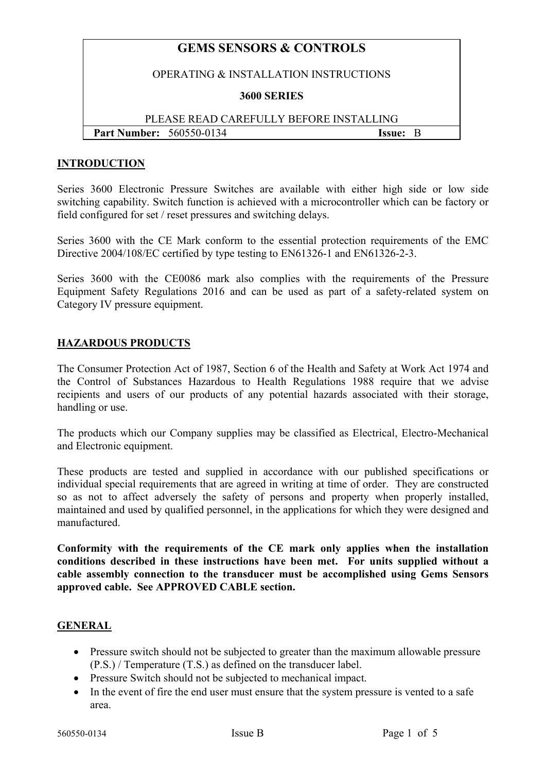# **GEMS SENSORS & CONTROLS**

#### OPERATING & INSTALLATION INSTRUCTIONS

#### **3600 SERIES**

## PLEASE READ CAREFULLY BEFORE INSTALLING **Part Number:** 560550-0134 **Issue:** B

#### **INTRODUCTION**

Series 3600 Electronic Pressure Switches are available with either high side or low side switching capability. Switch function is achieved with a microcontroller which can be factory or field configured for set / reset pressures and switching delays.

Series 3600 with the CE Mark conform to the essential protection requirements of the EMC Directive 2004/108/EC certified by type testing to EN61326-1 and EN61326-2-3.

Series 3600 with the CE0086 mark also complies with the requirements of the Pressure Equipment Safety Regulations 2016 and can be used as part of a safety-related system on Category IV pressure equipment.

### **HAZARDOUS PRODUCTS**

The Consumer Protection Act of 1987, Section 6 of the Health and Safety at Work Act 1974 and the Control of Substances Hazardous to Health Regulations 1988 require that we advise recipients and users of our products of any potential hazards associated with their storage, handling or use.

The products which our Company supplies may be classified as Electrical, Electro-Mechanical and Electronic equipment.

These products are tested and supplied in accordance with our published specifications or individual special requirements that are agreed in writing at time of order. They are constructed so as not to affect adversely the safety of persons and property when properly installed, maintained and used by qualified personnel, in the applications for which they were designed and manufactured.

**Conformity with the requirements of the CE mark only applies when the installation conditions described in these instructions have been met. For units supplied without a cable assembly connection to the transducer must be accomplished using Gems Sensors approved cable. See APPROVED CABLE section.** 

### **GENERAL**

- Pressure switch should not be subjected to greater than the maximum allowable pressure (P.S.) / Temperature (T.S.) as defined on the transducer label.
- Pressure Switch should not be subjected to mechanical impact.
- In the event of fire the end user must ensure that the system pressure is vented to a safe area.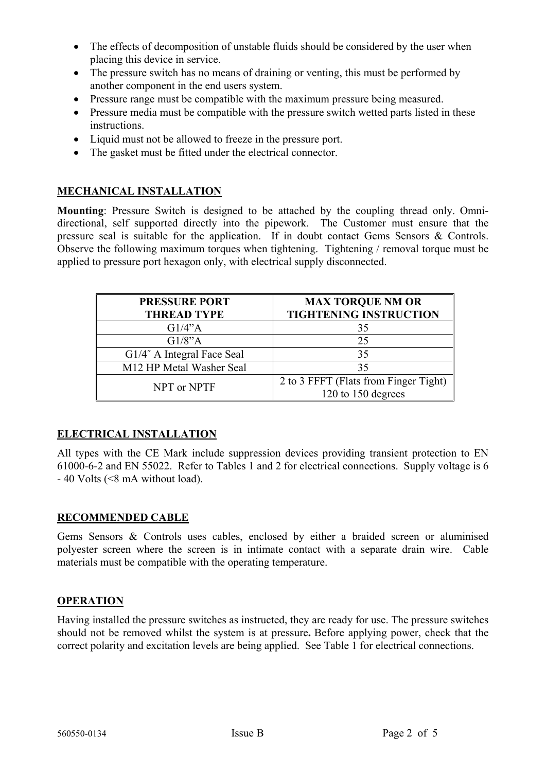- The effects of decomposition of unstable fluids should be considered by the user when placing this device in service.
- The pressure switch has no means of draining or venting, this must be performed by another component in the end users system.
- Pressure range must be compatible with the maximum pressure being measured.
- Pressure media must be compatible with the pressure switch wetted parts listed in these instructions.
- Liquid must not be allowed to freeze in the pressure port.
- The gasket must be fitted under the electrical connector.

## **MECHANICAL INSTALLATION**

**Mounting**: Pressure Switch is designed to be attached by the coupling thread only. Omnidirectional, self supported directly into the pipework. The Customer must ensure that the pressure seal is suitable for the application. If in doubt contact Gems Sensors & Controls. Observe the following maximum torques when tightening. Tightening / removal torque must be applied to pressure port hexagon only, with electrical supply disconnected.

| <b>PRESSURE PORT</b>       | <b>MAX TORQUE NM OR</b>               |
|----------------------------|---------------------------------------|
| <b>THREAD TYPE</b>         | <b>TIGHTENING INSTRUCTION</b>         |
| G1/4"A                     | 35                                    |
| G1/8"A                     | 25                                    |
| G1/4" A Integral Face Seal | 35                                    |
| M12 HP Metal Washer Seal   | 35                                    |
| NPT or NPTF                | 2 to 3 FFFT (Flats from Finger Tight) |
|                            | 120 to 150 degrees                    |

# **ELECTRICAL INSTALLATION**

All types with the CE Mark include suppression devices providing transient protection to EN 61000-6-2 and EN 55022. Refer to Tables 1 and 2 for electrical connections. Supply voltage is 6 - 40 Volts (<8 mA without load).

## **RECOMMENDED CABLE**

Gems Sensors & Controls uses cables, enclosed by either a braided screen or aluminised polyester screen where the screen is in intimate contact with a separate drain wire. Cable materials must be compatible with the operating temperature.

## **OPERATION**

Having installed the pressure switches as instructed, they are ready for use. The pressure switches should not be removed whilst the system is at pressure**.** Before applying power, check that the correct polarity and excitation levels are being applied. See Table 1 for electrical connections.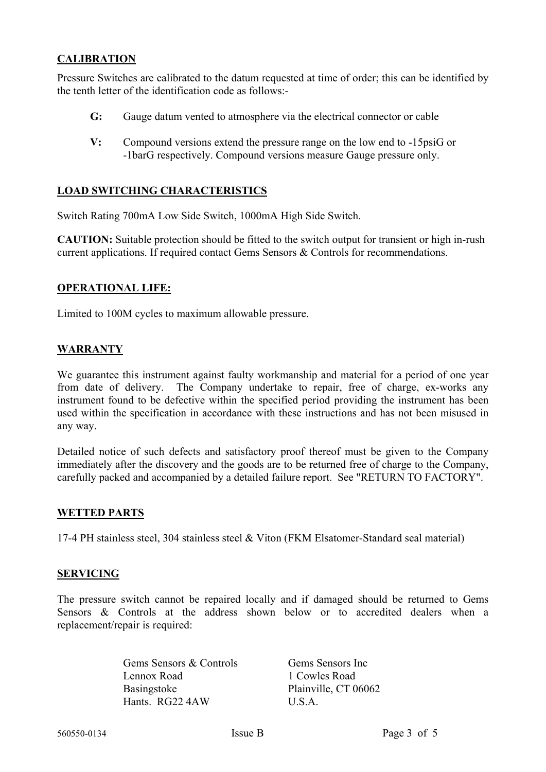## **CALIBRATION**

Pressure Switches are calibrated to the datum requested at time of order; this can be identified by the tenth letter of the identification code as follows:-

- **G:** Gauge datum vented to atmosphere via the electrical connector or cable
- **V:** Compound versions extend the pressure range on the low end to -15psiG or -1barG respectively. Compound versions measure Gauge pressure only.

### **LOAD SWITCHING CHARACTERISTICS**

Switch Rating 700mA Low Side Switch, 1000mA High Side Switch.

**CAUTION:** Suitable protection should be fitted to the switch output for transient or high in-rush current applications. If required contact Gems Sensors & Controls for recommendations.

### **OPERATIONAL LIFE:**

Limited to 100M cycles to maximum allowable pressure.

### **WARRANTY**

We guarantee this instrument against faulty workmanship and material for a period of one year from date of delivery. The Company undertake to repair, free of charge, ex-works any instrument found to be defective within the specified period providing the instrument has been used within the specification in accordance with these instructions and has not been misused in any way.

Detailed notice of such defects and satisfactory proof thereof must be given to the Company immediately after the discovery and the goods are to be returned free of charge to the Company, carefully packed and accompanied by a detailed failure report. See "RETURN TO FACTORY".

### **WETTED PARTS**

17-4 PH stainless steel, 304 stainless steel & Viton (FKM Elsatomer-Standard seal material)

#### **SERVICING**

The pressure switch cannot be repaired locally and if damaged should be returned to Gems Sensors & Controls at the address shown below or to accredited dealers when a replacement/repair is required:

> Gems Sensors & Controls Gems Sensors Inc Lennox Road 1 Cowles Road Basingstoke Plainville, CT 06062 Hants. RG22 4AW U.S.A.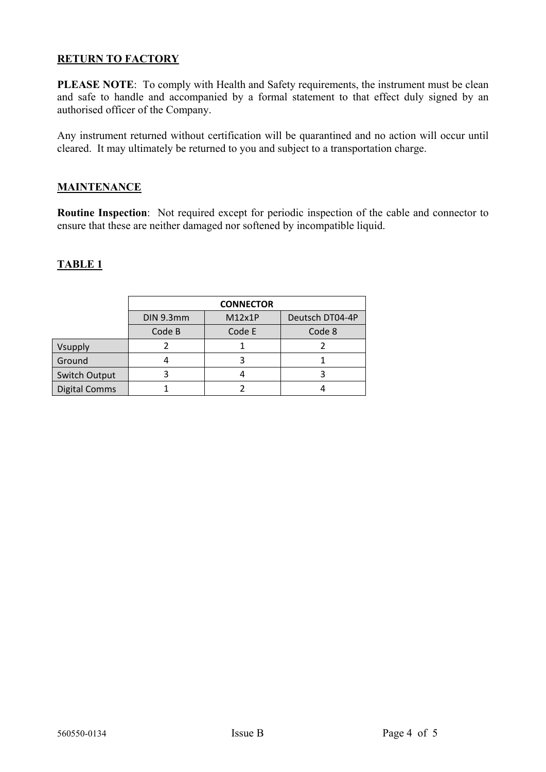## **RETURN TO FACTORY**

**PLEASE NOTE**: To comply with Health and Safety requirements, the instrument must be clean and safe to handle and accompanied by a formal statement to that effect duly signed by an authorised officer of the Company.

Any instrument returned without certification will be quarantined and no action will occur until cleared. It may ultimately be returned to you and subject to a transportation charge.

### **MAINTENANCE**

**Routine Inspection**: Not required except for periodic inspection of the cable and connector to ensure that these are neither damaged nor softened by incompatible liquid.

## **TABLE 1**

|                      | <b>CONNECTOR</b> |        |                 |
|----------------------|------------------|--------|-----------------|
|                      | DIN 9.3mm        | M12x1P | Deutsch DT04-4P |
|                      | Code B           | Code E | Code 8          |
| Vsupply              |                  |        |                 |
| Ground               |                  |        |                 |
| Switch Output        |                  |        |                 |
| <b>Digital Comms</b> |                  |        |                 |